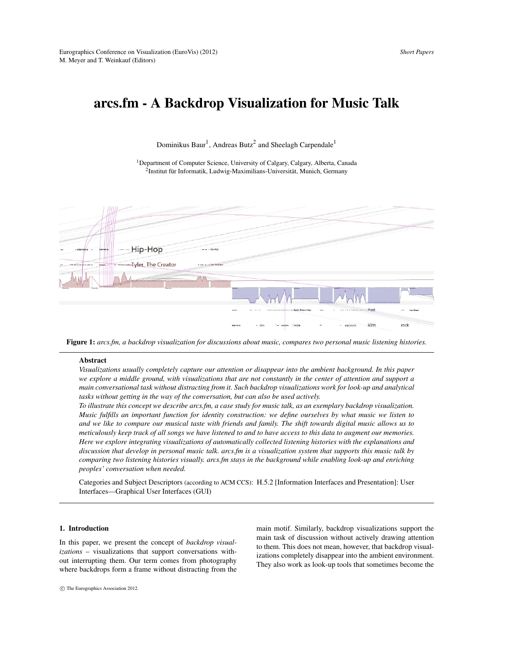# arcs.fm - A Backdrop Visualization for Music Talk

Dominikus Baur<sup>1</sup>, Andreas Butz<sup>2</sup> and Sheelagh Carpendale<sup>1</sup>

<sup>1</sup>Department of Computer Science, University of Calgary, Calgary, Alberta, Canada 2 Institut für Informatik, Ludwig-Maximilians-Universität, Munich, Germany



Figure 1: *arcs.fm, a backdrop visualization for discussions about music, compares two personal music listening histories.*

#### <span id="page-0-0"></span>**Abstract**

*Visualizations usually completely capture our attention or disappear into the ambient background. In this paper we explore a middle ground, with visualizations that are not constantly in the center of attention and support a main conversational task without distracting from it. Such backdrop visualizations work for look-up and analytical tasks without getting in the way of the conversation, but can also be used actively.*

*To illustrate this concept we describe arcs.fm, a case study for music talk, as an exemplary backdrop visualization. Music fulfills an important function for identity construction: we define ourselves by what music we listen to and we like to compare our musical taste with friends and family. The shift towards digital music allows us to meticulously keep track of all songs we have listened to and to have access to this data to augment our memories. Here we explore integrating visualizations of automatically collected listening histories with the explanations and discussion that develop in personal music talk. arcs.fm is a visualization system that supports this music talk by comparing two listening histories visually. arcs.fm stays in the background while enabling look-up and enriching peoples' conversation when needed.*

Categories and Subject Descriptors (according to ACM CCS): H.5.2 [Information Interfaces and Presentation]: User Interfaces—Graphical User Interfaces (GUI)

## 1. Introduction

In this paper, we present the concept of *backdrop visualizations* – visualizations that support conversations without interrupting them. Our term comes from photography where backdrops form a frame without distracting from the main motif. Similarly, backdrop visualizations support the main task of discussion without actively drawing attention to them. This does not mean, however, that backdrop visualizations completely disappear into the ambient environment. They also work as look-up tools that sometimes become the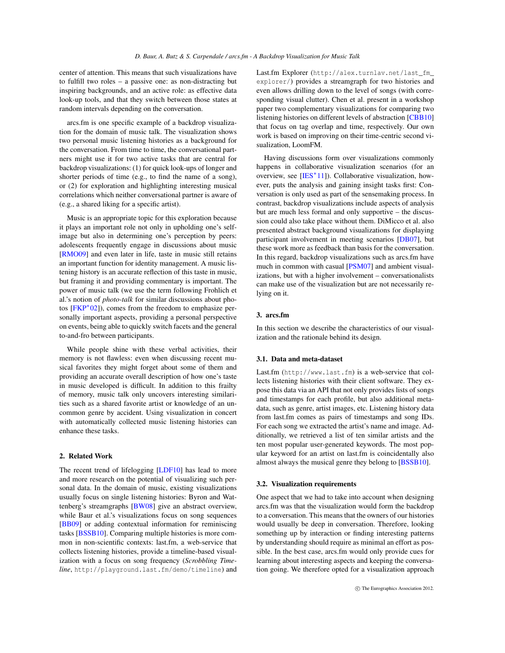<span id="page-1-0"></span>center of attention. This means that such visualizations have to fulfill two roles – a passive one: as non-distracting but inspiring backgrounds, and an active role: as effective data look-up tools, and that they switch between those states at random intervals depending on the conversation.

arcs.fm is one specific example of a backdrop visualization for the domain of music talk. The visualization shows two personal music listening histories as a background for the conversation. From time to time, the conversational partners might use it for two active tasks that are central for backdrop visualizations: (1) for quick look-ups of longer and shorter periods of time (e.g., to find the name of a song), or (2) for exploration and highlighting interesting musical correlations which neither conversational partner is aware of (e.g., a shared liking for a specific artist).

Music is an appropriate topic for this exploration because it plays an important role not only in upholding one's selfimage but also in determining one's perception by peers: adolescents frequently engage in discussions about music [\[RMO09\]](#page-4-0) and even later in life, taste in music still retains an important function for identity management. A music listening history is an accurate reflection of this taste in music, but framing it and providing commentary is important. The power of music talk (we use the term following Frohlich et al.'s notion of *photo-talk* for similar discussions about photos [\[FKP](#page-4-1)<sup>∗</sup> 02]), comes from the freedom to emphasize personally important aspects, providing a personal perspective on events, being able to quickly switch facets and the general to-and-fro between participants.

While people shine with these verbal activities, their memory is not flawless: even when discussing recent musical favorites they might forget about some of them and providing an accurate overall description of how one's taste in music developed is difficult. In addition to this frailty of memory, music talk only uncovers interesting similarities such as a shared favorite artist or knowledge of an uncommon genre by accident. Using visualization in concert with automatically collected music listening histories can enhance these tasks.

## 2. Related Work

The recent trend of lifelogging [\[LDF10\]](#page-4-2) has lead to more and more research on the potential of visualizing such personal data. In the domain of music, existing visualizations usually focus on single listening histories: Byron and Wattenberg's streamgraphs [\[BW08\]](#page-4-3) give an abstract overview, while Baur et al.'s visualizations focus on song sequences [\[BB09\]](#page-4-4) or adding contextual information for reminiscing tasks [\[BSSB10\]](#page-4-5). Comparing multiple histories is more common in non-scientific contexts: last.fm, a web-service that collects listening histories, provide a timeline-based visualization with a focus on song frequency (*Scrobbling Timeline*, http://playground.last.fm/demo/timeline) and Last.fm Explorer (http://alex.turnlav.net/last\_fm\_ explorer/) provides a streamgraph for two histories and even allows drilling down to the level of songs (with corresponding visual clutter). Chen et al. present in a workshop paper two complementary visualizations for comparing two listening histories on different levels of abstraction [\[CBB10\]](#page-4-6) that focus on tag overlap and time, respectively. Our own work is based on improving on their time-centric second visualization, LoomFM.

Having discussions form over visualizations commonly happens in collaborative visualization scenarios (for an overview, see [\[IES](#page-4-7)<sup>\*</sup>11]). Collaborative visualization, however, puts the analysis and gaining insight tasks first: Conversation is only used as part of the sensemaking process. In contrast, backdrop visualizations include aspects of analysis but are much less formal and only supportive – the discussion could also take place without them. DiMicco et al. also presented abstract background visualizations for displaying participant involvement in meeting scenarios [\[DB07\]](#page-4-8), but these work more as feedback than basis for the conversation. In this regard, backdrop visualizations such as arcs.fm have much in common with casual [\[PSM07\]](#page-4-9) and ambient visualizations, but with a higher involvement – conversationalists can make use of the visualization but are not necessarily relying on it.

## 3. arcs.fm

In this section we describe the characteristics of our visualization and the rationale behind its design.

## 3.1. Data and meta-dataset

Last.fm (http://www.last.fm) is a web-service that collects listening histories with their client software. They expose this data via an API that not only provides lists of songs and timestamps for each profile, but also additional metadata, such as genre, artist images, etc. Listening history data from last.fm comes as pairs of timestamps and song IDs. For each song we extracted the artist's name and image. Additionally, we retrieved a list of ten similar artists and the ten most popular user-generated keywords. The most popular keyword for an artist on last.fm is coincidentally also almost always the musical genre they belong to [\[BSSB10\]](#page-4-5).

## 3.2. Visualization requirements

One aspect that we had to take into account when designing arcs.fm was that the visualization would form the backdrop to a conversation. This means that the owners of our histories would usually be deep in conversation. Therefore, looking something up by interaction or finding interesting patterns by understanding should require as minimal an effort as possible. In the best case, arcs.fm would only provide cues for learning about interesting aspects and keeping the conversation going. We therefore opted for a visualization approach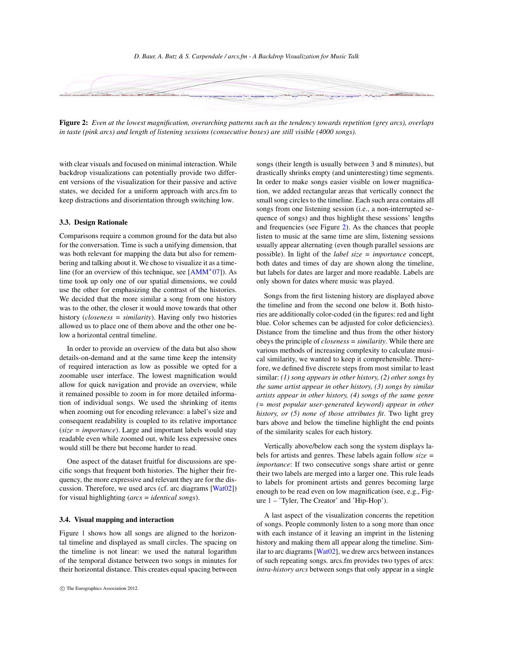#### *D. Baur, A. Butz & S. Carpendale / arcs.fm - A Backdrop Visualization for Music Talk*

<span id="page-2-1"></span>

<span id="page-2-0"></span>Figure 2: *Even at the lowest magnification, overarching patterns such as the tendency towards repetition (grey arcs), overlaps in taste (pink arcs) and length of listening sessions (consecutive boxes) are still visible (4000 songs).*

with clear visuals and focused on minimal interaction. While backdrop visualizations can potentially provide two different versions of the visualization for their passive and active states, we decided for a uniform approach with arcs.fm to keep distractions and disorientation through switching low.

# 3.3. Design Rationale

Comparisons require a common ground for the data but also for the conversation. Time is such a unifying dimension, that was both relevant for mapping the data but also for remembering and talking about it. We chose to visualize it as a timeline (for an overview of this technique, see [\[AMM](#page-4-10)<sup>∗</sup> 07]). As time took up only one of our spatial dimensions, we could use the other for emphasizing the contrast of the histories. We decided that the more similar a song from one history was to the other, the closer it would move towards that other history (*closeness = similarity*). Having only two histories allowed us to place one of them above and the other one below a horizontal central timeline.

In order to provide an overview of the data but also show details-on-demand and at the same time keep the intensity of required interaction as low as possible we opted for a zoomable user interface. The lowest magnification would allow for quick navigation and provide an overview, while it remained possible to zoom in for more detailed information of individual songs. We used the shrinking of items when zooming out for encoding relevance: a label's size and consequent readability is coupled to its relative importance (*size = importance*). Large and important labels would stay readable even while zoomed out, while less expressive ones would still be there but become harder to read.

One aspect of the dataset fruitful for discussions are specific songs that frequent both histories. The higher their frequency, the more expressive and relevant they are for the discussion. Therefore, we used arcs (cf. arc diagrams [\[Wat02\]](#page-4-11)) for visual highlighting (*arcs = identical songs*).

## 3.4. Visual mapping and interaction

Figure [1](#page-0-0) shows how all songs are aligned to the horizontal timeline and displayed as small circles. The spacing on the timeline is not linear: we used the natural logarithm of the temporal distance between two songs in minutes for their horizontal distance. This creates equal spacing between

songs (their length is usually between 3 and 8 minutes), but drastically shrinks empty (and uninteresting) time segments. In order to make songs easier visible on lower magnification, we added rectangular areas that vertically connect the small song circles to the timeline. Each such area contains all songs from one listening session (i.e., a non-interrupted sequence of songs) and thus highlight these sessions' lengths and frequencies (see Figure [2\)](#page-2-0). As the chances that people listen to music at the same time are slim, listening sessions usually appear alternating (even though parallel sessions are possible). In light of the *label size = importance* concept, both dates and times of day are shown along the timeline, but labels for dates are larger and more readable. Labels are only shown for dates where music was played.

Songs from the first listening history are displayed above the timeline and from the second one below it. Both histories are additionally color-coded (in the figures: red and light blue. Color schemes can be adjusted for color deficiencies). Distance from the timeline and thus from the other history obeys the principle of *closeness = similarity*. While there are various methods of increasing complexity to calculate musical similarity, we wanted to keep it comprehensible. Therefore, we defined five discrete steps from most similar to least similar: *(1) song appears in other history, (2) other songs by the same artist appear in other history, (3) songs by similar artists appear in other history, (4) songs of the same genre (= most popular user-generated keyword) appear in other history, or (5) none of those attributes fit*. Two light grey bars above and below the timeline highlight the end points of the similarity scales for each history.

Vertically above/below each song the system displays labels for artists and genres. These labels again follow *size = importance*: If two consecutive songs share artist or genre their two labels are merged into a larger one. This rule leads to labels for prominent artists and genres becoming large enough to be read even on low magnification (see, e.g., Figure [1](#page-0-0) – 'Tyler, The Creator' and 'Hip-Hop').

A last aspect of the visualization concerns the repetition of songs. People commonly listen to a song more than once with each instance of it leaving an imprint in the listening history and making them all appear along the timeline. Similar to arc diagrams [\[Wat02\]](#page-4-11), we drew arcs between instances of such repeating songs. arcs.fm provides two types of arcs: *intra-history arcs* between songs that only appear in a single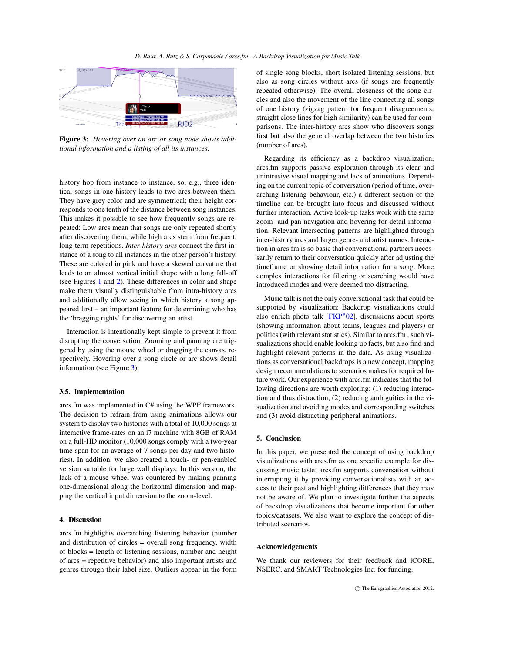<span id="page-3-1"></span>

<span id="page-3-0"></span>Figure 3: *Hovering over an arc or song node shows additional information and a listing of all its instances.*

history hop from instance to instance, so, e.g., three identical songs in one history leads to two arcs between them. They have grey color and are symmetrical; their height corresponds to one tenth of the distance between song instances. This makes it possible to see how frequently songs are repeated: Low arcs mean that songs are only repeated shortly after discovering them, while high arcs stem from frequent, long-term repetitions. *Inter-history arcs* connect the first instance of a song to all instances in the other person's history. These are colored in pink and have a skewed curvature that leads to an almost vertical initial shape with a long fall-off (see Figures [1](#page-0-0) and [2\)](#page-2-0). These differences in color and shape make them visually distinguishable from intra-history arcs and additionally allow seeing in which history a song appeared first – an important feature for determining who has the 'bragging rights' for discovering an artist.

Interaction is intentionally kept simple to prevent it from disrupting the conversation. Zooming and panning are triggered by using the mouse wheel or dragging the canvas, respectively. Hovering over a song circle or arc shows detail information (see Figure [3\)](#page-3-0).

## 3.5. Implementation

arcs.fm was implemented in C# using the WPF framework. The decision to refrain from using animations allows our system to display two histories with a total of 10,000 songs at interactive frame-rates on an i7 machine with 8GB of RAM on a full-HD monitor (10,000 songs comply with a two-year time-span for an average of 7 songs per day and two histories). In addition, we also created a touch- or pen-enabled version suitable for large wall displays. In this version, the lack of a mouse wheel was countered by making panning one-dimensional along the horizontal dimension and mapping the vertical input dimension to the zoom-level.

## 4. Discussion

arcs.fm highlights overarching listening behavior (number and distribution of circles = overall song frequency, width of blocks = length of listening sessions, number and height of arcs = repetitive behavior) and also important artists and genres through their label size. Outliers appear in the form of single song blocks, short isolated listening sessions, but also as song circles without arcs (if songs are frequently repeated otherwise). The overall closeness of the song circles and also the movement of the line connecting all songs of one history (zigzag pattern for frequent disagreements, straight close lines for high similarity) can be used for comparisons. The inter-history arcs show who discovers songs first but also the general overlap between the two histories (number of arcs).

Regarding its efficiency as a backdrop visualization, arcs.fm supports passive exploration through its clear and unintrusive visual mapping and lack of animations. Depending on the current topic of conversation (period of time, overarching listening behaviour, etc.) a different section of the timeline can be brought into focus and discussed without further interaction. Active look-up tasks work with the same zoom- and pan-navigation and hovering for detail information. Relevant intersecting patterns are highlighted through inter-history arcs and larger genre- and artist names. Interaction in arcs.fm is so basic that conversational partners necessarily return to their conversation quickly after adjusting the timeframe or showing detail information for a song. More complex interactions for filtering or searching would have introduced modes and were deemed too distracting.

Music talk is not the only conversational task that could be supported by visualization: Backdrop visualizations could also enrich photo talk [\[FKP](#page-4-1)<sup>∗</sup> 02], discussions about sports (showing information about teams, leagues and players) or politics (with relevant statistics). Similar to arcs.fm , such visualizations should enable looking up facts, but also find and highlight relevant patterns in the data. As using visualizations as conversational backdrops is a new concept, mapping design recommendations to scenarios makes for required future work. Our experience with arcs.fm indicates that the following directions are worth exploring: (1) reducing interaction and thus distraction, (2) reducing ambiguities in the visualization and avoiding modes and corresponding switches and (3) avoid distracting peripheral animations.

## 5. Conclusion

In this paper, we presented the concept of using backdrop visualizations with arcs.fm as one specific example for discussing music taste. arcs.fm supports conversation without interrupting it by providing conversationalists with an access to their past and highlighting differences that they may not be aware of. We plan to investigate further the aspects of backdrop visualizations that become important for other topics/datasets. We also want to explore the concept of distributed scenarios.

## Acknowledgements

We thank our reviewers for their feedback and iCORE, NSERC, and SMART Technologies Inc. for funding.